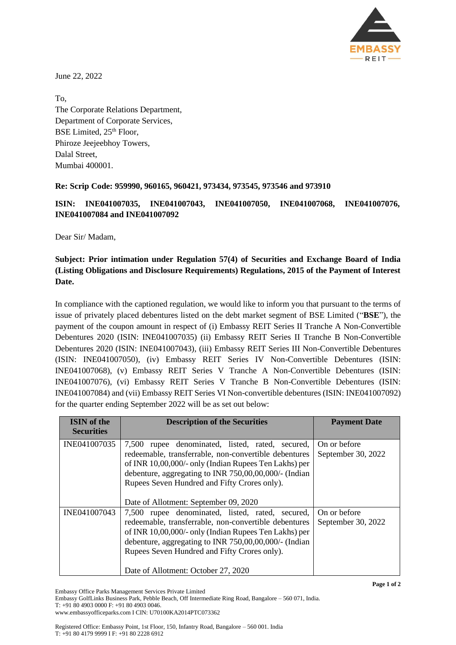

June 22, 2022

To, The Corporate Relations Department, Department of Corporate Services, BSE Limited,  $25<sup>th</sup>$  Floor, Phiroze Jeejeebhoy Towers, Dalal Street, Mumbai 400001.

## **Re: Scrip Code: 959990, 960165, 960421, 973434, 973545, 973546 and 973910**

**ISIN: INE041007035, INE041007043, INE041007050, INE041007068, INE041007076, INE041007084 and INE041007092**

Dear Sir/ Madam,

## **Subject: Prior intimation under Regulation 57(4) of Securities and Exchange Board of India (Listing Obligations and Disclosure Requirements) Regulations, 2015 of the Payment of Interest Date.**

In compliance with the captioned regulation, we would like to inform you that pursuant to the terms of issue of privately placed debentures listed on the debt market segment of BSE Limited ("**BSE**"), the payment of the coupon amount in respect of (i) Embassy REIT Series II Tranche A Non-Convertible Debentures 2020 (ISIN: INE041007035) (ii) Embassy REIT Series II Tranche B Non-Convertible Debentures 2020 (ISIN: INE041007043), (iii) Embassy REIT Series III Non-Convertible Debentures (ISIN: INE041007050), (iv) Embassy REIT Series IV Non-Convertible Debentures (ISIN: INE041007068), (v) Embassy REIT Series V Tranche A Non-Convertible Debentures (ISIN: INE041007076), (vi) Embassy REIT Series V Tranche B Non-Convertible Debentures (ISIN: INE041007084) and (vii) Embassy REIT Series VI Non-convertible debentures (ISIN: INE041007092) for the quarter ending September 2022 will be as set out below:

| <b>ISIN</b> of the<br><b>Securities</b> | <b>Description of the Securities</b>                                                                                                                                                                                                                                               | <b>Payment Date</b>                |
|-----------------------------------------|------------------------------------------------------------------------------------------------------------------------------------------------------------------------------------------------------------------------------------------------------------------------------------|------------------------------------|
| INE041007035                            | rupee denominated, listed, rated, secured,<br>7,500<br>redeemable, transferrable, non-convertible debentures<br>of INR 10,00,000/- only (Indian Rupees Ten Lakhs) per<br>debenture, aggregating to INR $750,00,000,000/$ - (Indian<br>Rupees Seven Hundred and Fifty Crores only). | On or before<br>September 30, 2022 |
|                                         | Date of Allotment: September 09, 2020                                                                                                                                                                                                                                              |                                    |
| INE041007043                            | rupee denominated, listed, rated, secured,<br>7.500<br>redeemable, transferrable, non-convertible debentures<br>of INR 10,00,000/- only (Indian Rupees Ten Lakhs) per<br>debenture, aggregating to INR 750,00,00,000/- (Indian<br>Rupees Seven Hundred and Fifty Crores only).     | On or before<br>September 30, 2022 |
|                                         | Date of Allotment: October 27, 2020                                                                                                                                                                                                                                                |                                    |

Embassy Office Parks Management Services Private Limited

Embassy GolfLinks Business Park, Pebble Beach, Off Intermediate Ring Road, Bangalore – 560 071, India.

T: +91 80 4903 0000 F: +91 80 4903 0046.

www.embassyofficeparks.com I CIN: U70100KA2014PTC073362

Registered Office: Embassy Point, 1st Floor, 150, Infantry Road, Bangalore – 560 001. India T: +91 80 4179 9999 I F: +91 80 2228 6912

**Page 1 of 2**